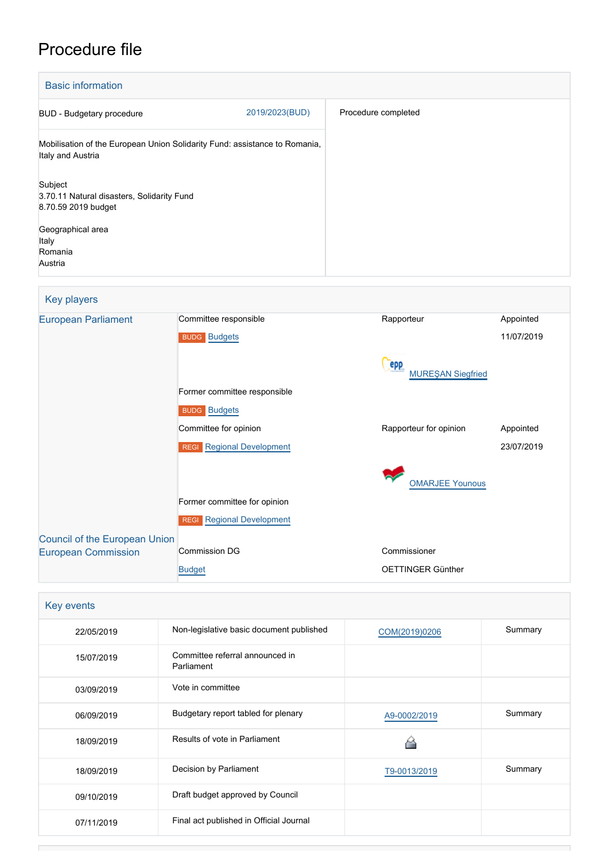# Procedure file

| <b>Basic information</b>                                                                        |                |                     |  |  |
|-------------------------------------------------------------------------------------------------|----------------|---------------------|--|--|
| BUD - Budgetary procedure                                                                       | 2019/2023(BUD) | Procedure completed |  |  |
| Mobilisation of the European Union Solidarity Fund: assistance to Romania,<br>Italy and Austria |                |                     |  |  |
| Subject<br>3.70.11 Natural disasters, Solidarity Fund<br>8.70.59 2019 budget                    |                |                     |  |  |
| Geographical area<br>Italy<br>Romania<br>Austria                                                |                |                     |  |  |

## Key players

| <b>European Parliament</b>           | Committee responsible                      | Rapporteur                      | Appointed  |  |
|--------------------------------------|--------------------------------------------|---------------------------------|------------|--|
|                                      | <b>BUDG Budgets</b>                        |                                 | 11/07/2019 |  |
|                                      |                                            | epp<br><b>MUREŞAN Siegfried</b> |            |  |
|                                      | Former committee responsible               |                                 |            |  |
|                                      | <b>BUDG Budgets</b>                        |                                 |            |  |
|                                      | Committee for opinion                      | Rapporteur for opinion          | Appointed  |  |
|                                      | <b>Regional Development</b><br><b>REGI</b> |                                 | 23/07/2019 |  |
|                                      |                                            | <b>OMARJEE Younous</b>          |            |  |
|                                      |                                            |                                 |            |  |
|                                      | Former committee for opinion               |                                 |            |  |
|                                      | <b>Regional Development</b><br><b>REGI</b> |                                 |            |  |
| <b>Council of the European Union</b> |                                            |                                 |            |  |
| <b>European Commission</b>           | <b>Commission DG</b>                       | Commissioner                    |            |  |
|                                      | <b>Budget</b>                              | OETTINGER Günther               |            |  |

| Key events |                                               |               |         |  |
|------------|-----------------------------------------------|---------------|---------|--|
| 22/05/2019 | Non-legislative basic document published      | COM(2019)0206 | Summary |  |
| 15/07/2019 | Committee referral announced in<br>Parliament |               |         |  |
| 03/09/2019 | Vote in committee                             |               |         |  |
| 06/09/2019 | Budgetary report tabled for plenary           | A9-0002/2019  | Summary |  |
| 18/09/2019 | Results of vote in Parliament                 |               |         |  |
| 18/09/2019 | Decision by Parliament                        | T9-0013/2019  | Summary |  |
| 09/10/2019 | Draft budget approved by Council              |               |         |  |
| 07/11/2019 | Final act published in Official Journal       |               |         |  |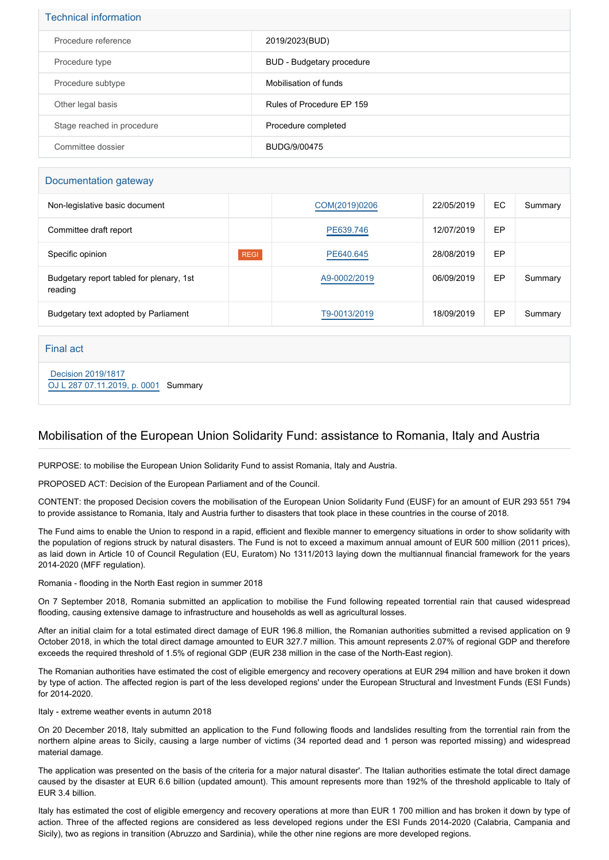| <b>Technical information</b> |                           |  |
|------------------------------|---------------------------|--|
| Procedure reference          | 2019/2023(BUD)            |  |
| Procedure type               | BUD - Budgetary procedure |  |
| Procedure subtype            | Mobilisation of funds     |  |
| Other legal basis            | Rules of Procedure EP 159 |  |
| Stage reached in procedure   | Procedure completed       |  |
| Committee dossier            | BUDG/9/00475              |  |

#### Documentation gateway

| Non-legislative basic document                      |             | COM(2019)0206 | 22/05/2019 | EC. | Summary |
|-----------------------------------------------------|-------------|---------------|------------|-----|---------|
| Committee draft report                              |             | PE639.746     | 12/07/2019 | EP  |         |
| Specific opinion                                    | <b>REGI</b> | PE640.645     | 28/08/2019 | EP  |         |
| Budgetary report tabled for plenary, 1st<br>reading |             | A9-0002/2019  | 06/09/2019 | EP  | Summary |
| Budgetary text adopted by Parliament                |             | T9-0013/2019  | 18/09/2019 | EP  | Summary |

Final act

 [Decision 2019/1817](https://eur-lex.europa.eu/smartapi/cgi/sga_doc?smartapi!celexplus!prod!CELEXnumdoc&lg=EN&numdoc=32019D1817) [OJ L 287 07.11.2019, p. 0001](https://eur-lex.europa.eu/legal-content/EN/TXT/?uri=OJ:L:2019:287:TOC) Summary

#### Mobilisation of the European Union Solidarity Fund: assistance to Romania, Italy and Austria

PURPOSE: to mobilise the European Union Solidarity Fund to assist Romania, Italy and Austria.

PROPOSED ACT: Decision of the European Parliament and of the Council.

CONTENT: the proposed Decision covers the mobilisation of the European Union Solidarity Fund (EUSF) for an amount of EUR 293 551 794 to provide assistance to Romania, Italy and Austria further to disasters that took place in these countries in the course of 2018.

The Fund aims to enable the Union to respond in a rapid, efficient and flexible manner to emergency situations in order to show solidarity with the population of regions struck by natural disasters. The Fund is not to exceed a maximum annual amount of EUR 500 million (2011 prices), as laid down in Article 10 of Council Regulation (EU, Euratom) No 1311/2013 laying down the multiannual financial framework for the years 2014-2020 (MFF regulation).

Romania - flooding in the North East region in summer 2018

On 7 September 2018, Romania submitted an application to mobilise the Fund following repeated torrential rain that caused widespread flooding, causing extensive damage to infrastructure and households as well as agricultural losses.

After an initial claim for a total estimated direct damage of EUR 196.8 million, the Romanian authorities submitted a revised application on 9 October 2018, in which the total direct damage amounted to EUR 327.7 million. This amount represents 2.07% of regional GDP and therefore exceeds the required threshold of 1.5% of regional GDP (EUR 238 million in the case of the North-East region).

The Romanian authorities have estimated the cost of eligible emergency and recovery operations at EUR 294 million and have broken it down by type of action. The affected region is part of the less developed regions' under the European Structural and Investment Funds (ESI Funds) for 2014-2020.

Italy - extreme weather events in autumn 2018

On 20 December 2018, Italy submitted an application to the Fund following floods and landslides resulting from the torrential rain from the northern alpine areas to Sicily, causing a large number of victims (34 reported dead and 1 person was reported missing) and widespread material damage.

The application was presented on the basis of the criteria for a major natural disaster'. The Italian authorities estimate the total direct damage caused by the disaster at EUR 6.6 billion (updated amount). This amount represents more than 192% of the threshold applicable to Italy of EUR 3.4 billion.

Italy has estimated the cost of eligible emergency and recovery operations at more than EUR 1 700 million and has broken it down by type of action. Three of the affected regions are considered as less developed regions under the ESI Funds 2014-2020 (Calabria, Campania and Sicily), two as regions in transition (Abruzzo and Sardinia), while the other nine regions are more developed regions.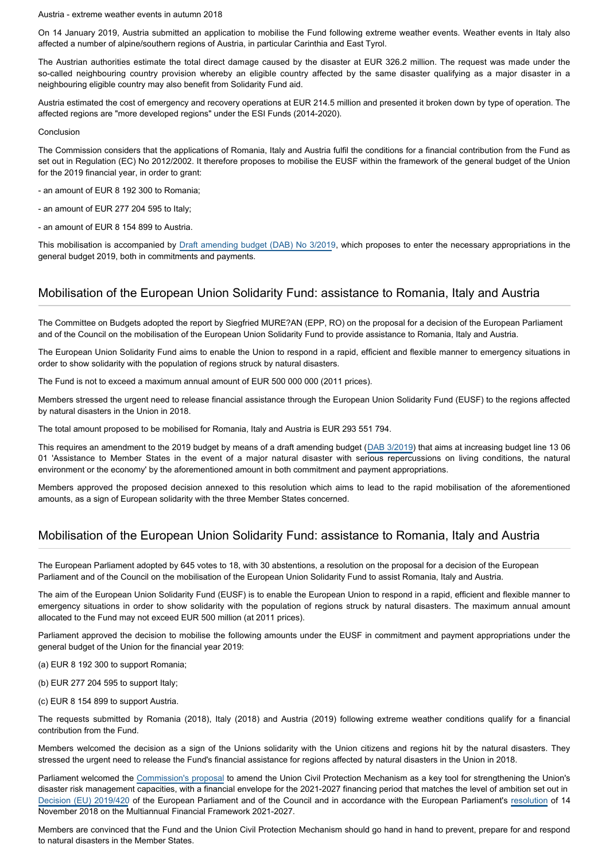Austria - extreme weather events in autumn 2018

On 14 January 2019, Austria submitted an application to mobilise the Fund following extreme weather events. Weather events in Italy also affected a number of alpine/southern regions of Austria, in particular Carinthia and East Tyrol.

The Austrian authorities estimate the total direct damage caused by the disaster at EUR 326.2 million. The request was made under the so-called neighbouring country provision whereby an eligible country affected by the same disaster qualifying as a major disaster in a neighbouring eligible country may also benefit from Solidarity Fund aid.

Austria estimated the cost of emergency and recovery operations at EUR 214.5 million and presented it broken down by type of operation. The affected regions are "more developed regions" under the ESI Funds (2014-2020).

Conclusion

The Commission considers that the applications of Romania, Italy and Austria fulfil the conditions for a financial contribution from the Fund as set out in Regulation (EC) No 2012/2002. It therefore proposes to mobilise the EUSF within the framework of the general budget of the Union for the 2019 financial year, in order to grant:

- an amount of EUR 8 192 300 to Romania;

- an amount of EUR 277 204 595 to Italy;
- an amount of EUR 8 154 899 to Austria.

This mobilisation is accompanied by [Draft amending budget \(DAB\) No 3/2019](https://oeil.secure.europarl.europa.eu/oeil/popups/ficheprocedure.do?reference=2019/2024(BUD)&l=en), which proposes to enter the necessary appropriations in the general budget 2019, both in commitments and payments.

### Mobilisation of the European Union Solidarity Fund: assistance to Romania, Italy and Austria

The Committee on Budgets adopted the report by Siegfried MURE?AN (EPP, RO) on the proposal for a decision of the European Parliament and of the Council on the mobilisation of the European Union Solidarity Fund to provide assistance to Romania, Italy and Austria.

The European Union Solidarity Fund aims to enable the Union to respond in a rapid, efficient and flexible manner to emergency situations in order to show solidarity with the population of regions struck by natural disasters.

The Fund is not to exceed a maximum annual amount of EUR 500 000 000 (2011 prices).

Members stressed the urgent need to release financial assistance through the European Union Solidarity Fund (EUSF) to the regions affected by natural disasters in the Union in 2018.

The total amount proposed to be mobilised for Romania, Italy and Austria is EUR 293 551 794.

This requires an amendment to the 2019 budget by means of a draft amending budget ([DAB 3/2019\)](https://oeil.secure.europarl.europa.eu/oeil/popups/ficheprocedure.do?reference=2019/2024(BUD)&l=en) that aims at increasing budget line 13 06 01 'Assistance to Member States in the event of a major natural disaster with serious repercussions on living conditions, the natural environment or the economy' by the aforementioned amount in both commitment and payment appropriations.

Members approved the proposed decision annexed to this resolution which aims to lead to the rapid mobilisation of the aforementioned amounts, as a sign of European solidarity with the three Member States concerned.

#### Mobilisation of the European Union Solidarity Fund: assistance to Romania, Italy and Austria

The European Parliament adopted by 645 votes to 18, with 30 abstentions, a resolution on the proposal for a decision of the European Parliament and of the Council on the mobilisation of the European Union Solidarity Fund to assist Romania, Italy and Austria.

The aim of the European Union Solidarity Fund (EUSF) is to enable the European Union to respond in a rapid, efficient and flexible manner to emergency situations in order to show solidarity with the population of regions struck by natural disasters. The maximum annual amount allocated to the Fund may not exceed EUR 500 million (at 2011 prices).

Parliament approved the decision to mobilise the following amounts under the EUSF in commitment and payment appropriations under the general budget of the Union for the financial year 2019:

(a) EUR 8 192 300 to support Romania;

(b) EUR 277 204 595 to support Italy;

(c) EUR 8 154 899 to support Austria.

The requests submitted by Romania (2018), Italy (2018) and Austria (2019) following extreme weather conditions qualify for a financial contribution from the Fund.

Members welcomed the decision as a sign of the Unions solidarity with the Union citizens and regions hit by the natural disasters. They stressed the urgent need to release the Fund's financial assistance for regions affected by natural disasters in the Union in 2018.

Parliament welcomed the [Commission's proposal](https://oeil.secure.europarl.europa.eu/oeil/popups/ficheprocedure.do?reference=2019/0070(COD)&l=en) to amend the Union Civil Protection Mechanism as a key tool for strengthening the Union's disaster risk management capacities, with a financial envelope for the 2021-2027 financing period that matches the level of ambition set out in [Decision \(EU\) 2019/420](https://oeil.secure.europarl.europa.eu/oeil/popups/ficheprocedure.do?reference=2017/0309(COD)&l=en) of the European Parliament and of the Council and in accordance with the European Parliament's [resolution](https://oeil.secure.europarl.europa.eu/oeil/popups/ficheprocedure.do?lang=en&reference=2018/0166R(APP)) of 14 November 2018 on the Multiannual Financial Framework 2021-2027.

Members are convinced that the Fund and the Union Civil Protection Mechanism should go hand in hand to prevent, prepare for and respond to natural disasters in the Member States.